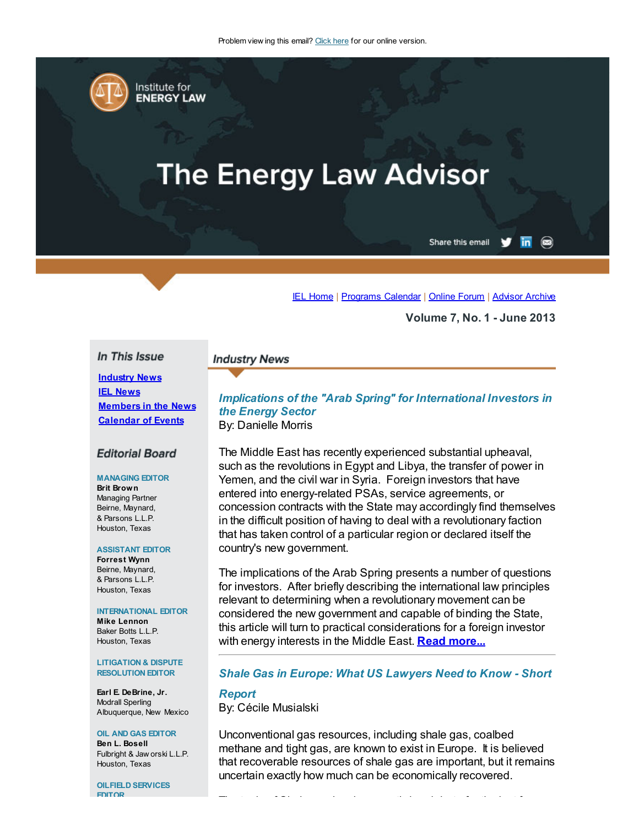

# **The Energy Law Advisor**

Share this email  $\overline{\mathsf{in}}$   $\circledcirc$ 

#### IEL [Home](http://www.cailaw.org/institute-for-energy-law/index.html?utm_source=Informz&utm_medium=Email&utm_campaign=Event+Details) | [Programs](http://www.cailaw.org/institute-for-energy-law/programs-calendar.html?utm_source=Informz&utm_medium=Email&utm_campaign=Event+Details) Calendar | [Online](http://www.linkedin.com/groups?homeNewMember=&gid=2370373&trk=&ut=0XojoQQoYP6ls1) Forum | [Advisor](http://www.cailaw.org/institute-for-energy-law/publications/energy-law-advisor.html?utm_source=Informz&utm_medium=Email&utm_campaign=Event+Details) Archive

Volume 7, No. 1 - June 2013

## In This Issue

**Industry News IEL [News](#page-2-0)** [Members](#page-3-0) in the News [Calendar](#page-5-0) of Events

#### **Editorial Board**

#### MANAGING EDITOR

Brit Brown Managing Partner Beirne, Maynard, & Parsons L.L.P. Houston, Texas

#### ASSISTANT EDITOR

Forrest Wynn Beirne, Maynard, & Parsons L.L.P. Houston, Texas

#### INTERNATIONAL EDITOR

Mike Lennon Baker Botts L.L.P. Houston, Texas

#### LITIGATION & DISPUTE RESOLUTION EDITOR

Earl E. DeBrine, Jr. Modrall Sperling Albuquerque, New Mexico

#### OIL AND GAS EDITOR

Ben L. Bosell Fulbright & Jaw orski L.L.P. Houston, Texas

OILFIELD SERVICES EDITOR

# Implications of the "Arab Spring" for International Investors in the Energy Sector

By: Danielle Morris

**Industry News** 

The Middle East has recently experienced substantial upheaval, such as the revolutions in Egypt and Libya, the transfer of power in Yemen, and the civil war in Syria. Foreign investors that have entered into energy-related PSAs, service agreements, or concession contracts with the State may accordingly find themselves in the difficult position of having to deal with a revolutionary faction that has taken control of a particular region or declared itself the country's new government.

The implications of the Arab Spring presents a number of questions for investors. After briefly describing the international law principles relevant to determining when a revolutionary movement can be considered the new government and capable of binding the State, this article will turn to practical considerations for a foreign investor with energy interests in the Middle East. **Read [more...](http://cailaw.informz.net/admin31/content/template.asp?sid=31726&ptid=799&brandid=3434&uid=%%UID%%&mi=%%MINSTANCEID%%&ps=31726)** 

### Shale Gas in Europe: What US Lawyers Need to Know - Short

# **Report**

By: Cécile Musialski

Unconventional gas resources, including shale gas, coalbed methane and tight gas, are known to exist in Europe. It is believed that recoverable resources of shale gas are important, but it remains uncertain exactly how much can be economically recovered.

The topic of Shale gas has been a stirring debate for the last few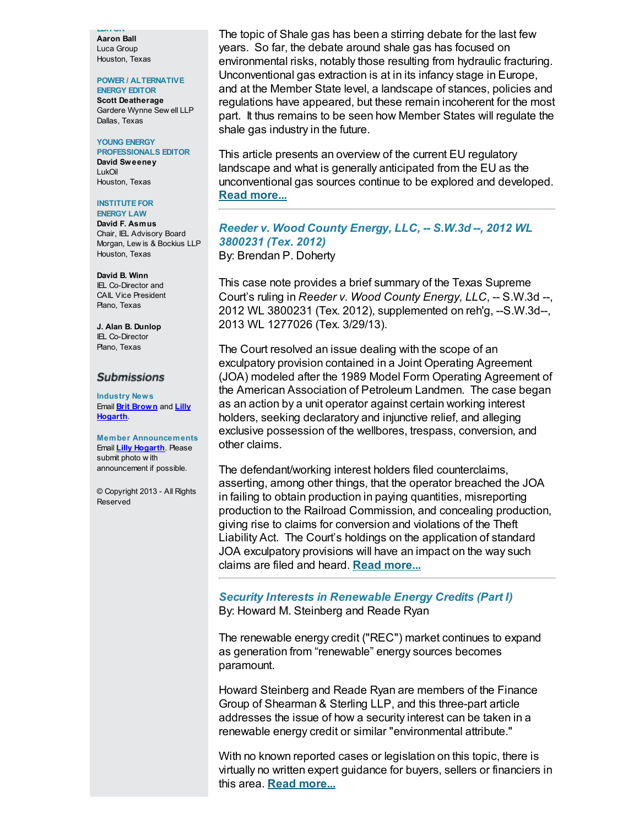EDITOR Aaron Ball Luca Group Houston, Texas

### POWER / ALTERNATIVE

ENERGY EDITOR Scott Deatherage Gardere Wynne Sew ell LLP Dallas, Texas

## YOUNG ENERGY

PROFESSIONALS EDITOR David Sweeney LukOil Houston, Texas

#### **INSTITUTE FOR** ENERGY LAW

David F. Asmus Chair, IEL Advisory Board Morgan, Lew is & Bockius LLP Houston, Texas

# David B. Winn

IEL Co-Director and CAIL Vice President Plano, Texas

J. Alan B. Dunlop IEL Co-Director Plano, Texas

### **Submissions**

Industry News Email **Brit [Brown](mailto:bbrown@bmpllp.com)** and **Lilly** [Hogarth](mailto:lhogarth@cailaw.org).

Member Announcements Email **Lilly [Hogarth](mailto:lhogarth@cailaw.org)**. Please submit photo w ith announcement if possible.

© Copyright 2013 - All Rights Reserved

The topic of Shale gas has been a stirring debate for the last few years. So far, the debate around shale gas has focused on environmental risks, notably those resulting from hydraulic fracturing. Unconventional gas extraction is at in its infancy stage in Europe, and at the Member State level, a landscape of stances, policies and regulations have appeared, but these remain incoherent for the most part. It thus remains to be seen how Member States will regulate the shale gas industry in the future.

This article presents an overview of the current EU regulatory landscape and what is generally anticipated from the EU as the unconventional gas sources continue to be explored and developed. Read [more...](http://www.cailaw.org/media/files/IEL/Publications/2013/ela-shale-gas-vol7-no1.pdf)

Reeder v. Wood County Energy, LLC, -- S.W.3d --, 2012 WL 3800231 (Tex. 2012) By: Brendan P. Doherty

This case note provides a brief summary of the Texas Supreme Court's ruling in Reeder v. Wood County Energy, LLC, -- S.W.3d --, 2012 WL 3800231 (Tex. 2012), supplemented on reh'g, --S.W.3d--, 2013 WL 1277026 (Tex. 3/29/13).

The Court resolved an issue dealing with the scope of an exculpatory provision contained in a Joint Operating Agreement (JOA) modeled after the 1989 Model Form Operating Agreement of the American Association of Petroleum Landmen. The case began as an action by a unit operator against certain working interest holders, seeking declaratory and injunctive relief, and alleging exclusive possession of the wellbores, trespass, conversion, and other claims.

The defendant/working interest holders filed counterclaims, asserting, among other things, that the operator breached the JOA in failing to obtain production in paying quantities, misreporting production to the Railroad Commission, and concealing production, giving rise to claims for conversion and violations of the Theft Liability Act. The Court's holdings on the application of standard JOA exculpatory provisions will have an impact on the way such claims are filed and heard. Read [more...](http://cailaw.informz.net/admin31/content/template.asp?sid=31735&ptid=799&brandid=3434&uid=%%UID%%&mi=%%MINSTANCEID%%&ps=31735)

Security Interests in Renewable Energy Credits (Part I) By: Howard M. Steinberg and Reade Ryan

The renewable energy credit ("REC") market continues to expand as generation from "renewable" energy sources becomes paramount.

Howard Steinberg and Reade Ryan are members of the Finance Group of Shearman & Sterling LLP, and this three-part article addresses the issue of how a security interest can be taken in a renewable energy credit or similar "environmental attribute."

With no known reported cases or legislation on this topic, there is virtually no written expert guidance for buyers, sellers or financiers in this area. Read [more...](http://www.cailaw.org/media/files/IEL/Publications/2013/ela-security-interests-vol7-no1.pdf)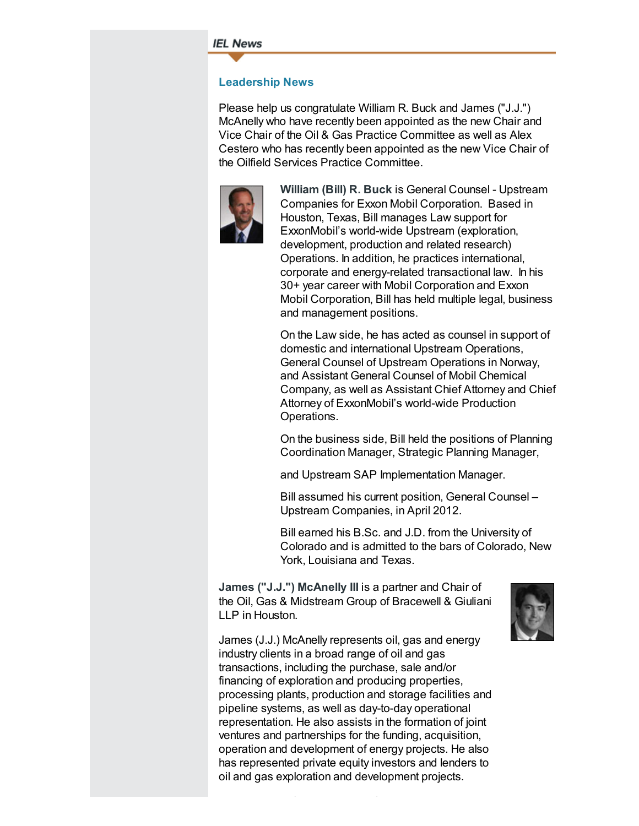#### <span id="page-2-0"></span>**IEL News**

## Leadership News

Please help us congratulate William R. Buck and James ("J.J.") McAnelly who have recently been appointed as the new Chair and Vice Chair of the Oil & Gas Practice Committee as well as Alex Cestero who has recently been appointed as the new Vice Chair of the Oilfield Services Practice Committee.



William (Bill) R. Buck is General Counsel - Upstream Companies for Exxon Mobil Corporation. Based in Houston, Texas, Bill manages Law support for ExxonMobil's world-wide Upstream (exploration, development, production and related research) Operations. In addition, he practices international, corporate and energy-related transactional law. In his 30+ year career with Mobil Corporation and Exxon Mobil Corporation, Bill has held multiple legal, business and management positions.

On the Law side, he has acted as counsel in support of domestic and international Upstream Operations, General Counsel of Upstream Operations in Norway, and Assistant General Counsel of Mobil Chemical Company, as well as Assistant Chief Attorney and Chief Attorney of ExxonMobil's world-wide Production Operations.

On the business side, Bill held the positions of Planning Coordination Manager, Strategic Planning Manager,

and Upstream SAP Implementation Manager.

Bill assumed his current position, General Counsel – Upstream Companies, in April 2012.

Bill earned his B.Sc. and J.D. from the University of Colorado and is admitted to the bars of Colorado, New York, Louisiana and Texas.

James ("J.J.") McAnelly III is a partner and Chair of the Oil, Gas & Midstream Group of Bracewell & Giuliani LLP in Houston.



James (J.J.) McAnelly represents oil, gas and energy industry clients in a broad range of oil and gas transactions, including the purchase, sale and/or financing of exploration and producing properties, processing plants, production and storage facilities and pipeline systems, as well as day-to-day operational representation. He also assists in the formation of joint ventures and partnerships for the funding, acquisition, operation and development of energy projects. He also has represented private equity investors and lenders to oil and gas exploration and development projects.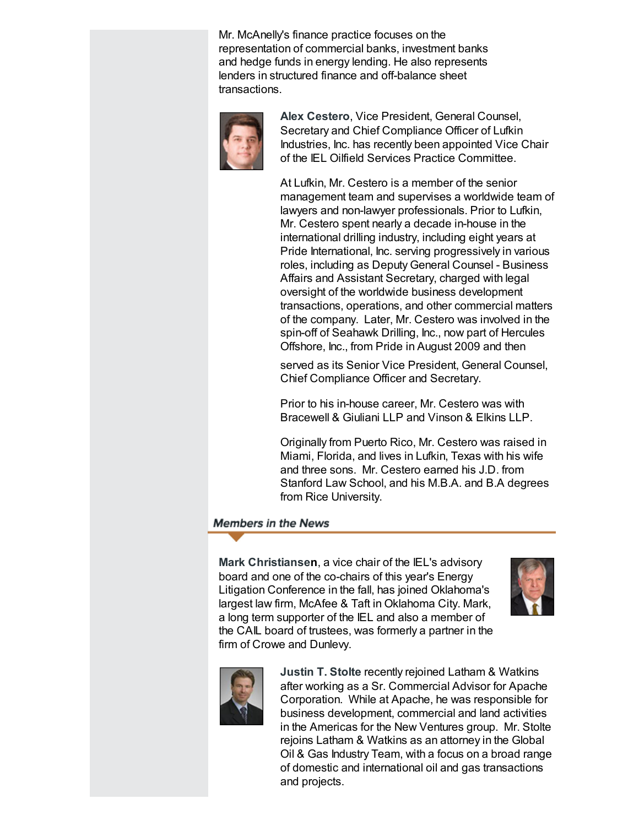Mr. McAnelly's finance practice focuses on the representation of commercial banks, investment banks and hedge funds in energy lending. He also represents lenders in structured finance and off-balance sheet transactions.



Alex Cestero, Vice President, General Counsel, Secretary and Chief Compliance Officer of Lufkin Industries, Inc. has recently been appointed Vice Chair of the IEL Oilfield Services Practice Committee.

At Lufkin, Mr. Cestero is a member of the senior management team and supervises a worldwide team of lawyers and non-lawyer professionals. Prior to Lufkin, Mr. Cestero spent nearly a decade in-house in the international drilling industry, including eight years at Pride International, Inc. serving progressively in various roles, including as Deputy General Counsel - Business Affairs and Assistant Secretary, charged with legal oversight of the worldwide business development transactions, operations, and other commercial matters of the company. Later, Mr. Cestero was involved in the spin-off of Seahawk Drilling, Inc., now part of Hercules Offshore, Inc., from Pride in August 2009 and then

served as its Senior Vice President, General Counsel, Chief Compliance Officer and Secretary.

Prior to his in-house career, Mr. Cestero was with Bracewell & Giuliani LLP and Vinson & Elkins LLP.

Originally from Puerto Rico, Mr. Cestero was raised in Miami, Florida, and lives in Lufkin, Texas with his wife and three sons. Mr. Cestero earned his J.D. from Stanford Law School, and his M.B.A. and B.A degrees from Rice University.

## <span id="page-3-0"></span>**Members in the News**

Mark Christiansen, a vice chair of the IEL's advisory board and one of the co-chairs of this year's Energy Litigation Conference in the fall, has joined Oklahoma's largest law firm, McAfee & Taft in Oklahoma City. Mark, a long term supporter of the IEL and also a member of the CAIL board of trustees, was formerly a partner in the firm of Crowe and Dunlevy.





Justin T. Stolte recently rejoined Latham & Watkins after working as a Sr. Commercial Advisor for Apache Corporation. While at Apache, he was responsible for business development, commercial and land activities in the Americas for the New Ventures group. Mr. Stolte rejoins Latham & Watkins as an attorney in the Global Oil & Gas Industry Team, with a focus on a broad range of domestic and international oil and gas transactions and projects.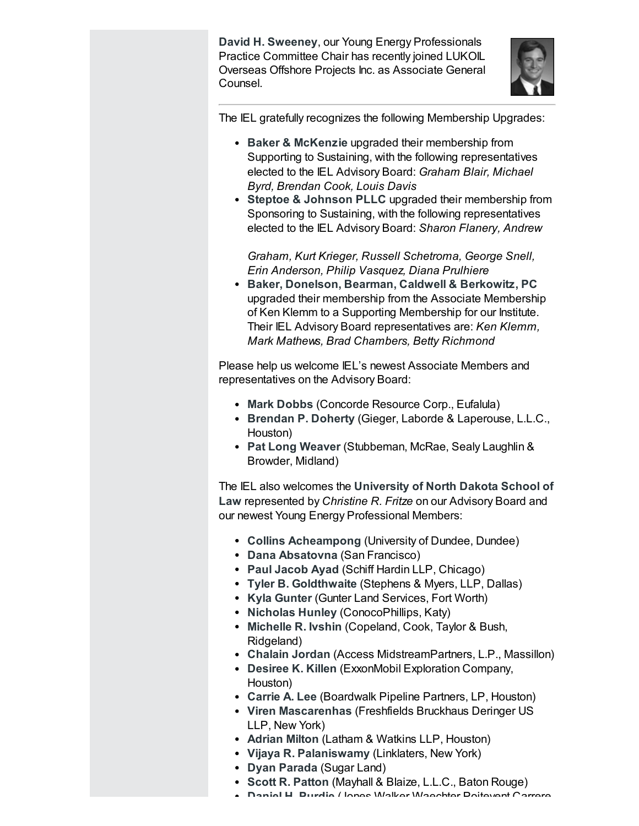David H. Sweeney, our Young Energy Professionals Practice Committee Chair has recently joined LUKOIL Overseas Offshore Projects Inc. as Associate General Counsel.



The IEL gratefully recognizes the following Membership Upgrades:

- Baker & McKenzie upgraded their membership from Supporting to Sustaining, with the following representatives elected to the IEL Advisory Board: Graham Blair, Michael Byrd, Brendan Cook, Louis Davis
- Steptoe & Johnson PLLC upgraded their membership from Sponsoring to Sustaining, with the following representatives elected to the IEL Advisory Board: Sharon Flanery, Andrew

Graham, Kurt Krieger, Russell Schetroma, George Snell, Erin Anderson, Philip Vasquez, Diana Prulhiere

Baker, Donelson, Bearman, Caldwell & Berkowitz, PC upgraded their membership from the Associate Membership of Ken Klemm to a Supporting Membership for our Institute. Their IEL Advisory Board representatives are: Ken Klemm, Mark Mathews, Brad Chambers, Betty Richmond

Please help us welcome IEL's newest Associate Members and representatives on the Advisory Board:

- Mark Dobbs (Concorde Resource Corp., Eufalula)
- Brendan P. Doherty (Gieger, Laborde & Laperouse, L.L.C., Houston)
- Pat Long Weaver (Stubbeman, McRae, Sealy Laughlin & Browder, Midland)

The IEL also welcomes the University of North Dakota School of Law represented by Christine R. Fritze on our Advisory Board and our newest Young Energy Professional Members:

- Collins Acheampong (University of Dundee, Dundee)
- Dana Absatovna (San Francisco)
- Paul Jacob Ayad (Schiff Hardin LLP, Chicago)
- Tyler B. Goldthwaite (Stephens & Myers, LLP, Dallas)
- Kyla Gunter (Gunter Land Services, Fort Worth)
- Nicholas Hunley (ConocoPhillips, Katy)
- Michelle R. Ivshin (Copeland, Cook, Taylor & Bush, Ridgeland)
- Chalain Jordan (Access MidstreamPartners, L.P., Massillon)
- Desiree K. Killen (ExxonMobil Exploration Company, Houston)
- Carrie A. Lee (Boardwalk Pipeline Partners, LP, Houston)
- Viren Mascarenhas (Freshfields Bruckhaus Deringer US LLP, New York)
- Adrian Milton (Latham & Watkins LLP, Houston)
- Vijaya R. Palaniswamy (Linklaters, New York)
- Dyan Parada (Sugar Land)
- Scott R. Patton (Mayhall & Blaize, L.L.C., Baton Rouge)
- Daniel H. Purdie (Jones Walker Waechter Poitevent Carrere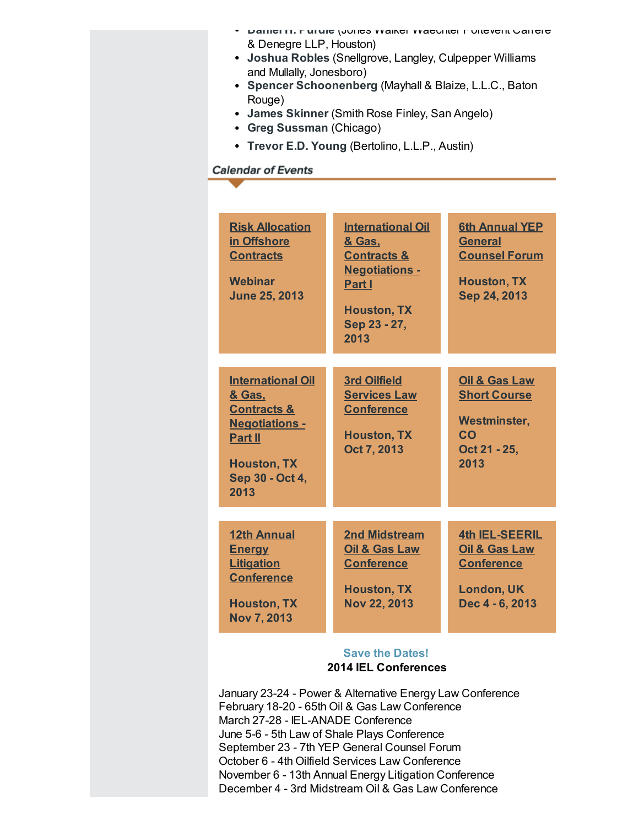- Daniel H. Purdie (Jones Walker Waechter Poitevent Carrere & Denegre LLP, Houston)
- Joshua Robles (Snellgrove, Langley, Culpepper Williams and Mullally, Jonesboro)
- Spencer Schoonenberg (Mayhall & Blaize, L.L.C., Baton Rouge)
- James Skinner (Smith Rose Finley, San Angelo)
- Greg Sussman (Chicago)
- Trevor E.D. Young (Bertolino, L.L.P., Austin)

# <span id="page-5-0"></span>**Calendar of Events**

| <b>Risk Allocation</b><br>in Offshore<br><b>Contracts</b><br><b>Webinar</b><br><b>June 25, 2013</b>                                                      | <b>International Oil</b><br>& Gas.<br><b>Contracts &amp;</b><br><b>Negotiations -</b><br>Part I<br><b>Houston, TX</b><br>Sep 23 - 27,<br>2013 | <b>6th Annual YEP</b><br><b>General</b><br><b>Counsel Forum</b><br><b>Houston, TX</b><br>Sep 24, 2013          |
|----------------------------------------------------------------------------------------------------------------------------------------------------------|-----------------------------------------------------------------------------------------------------------------------------------------------|----------------------------------------------------------------------------------------------------------------|
| <b>International Oil</b><br>& Gas.<br><b>Contracts &amp;</b><br><b>Negotiations -</b><br><b>Part II</b><br><b>Houston, TX</b><br>Sep 30 - Oct 4,<br>2013 | <b>3rd Oilfield</b><br><b>Services Law</b><br><b>Conference</b><br><b>Houston, TX</b><br>Oct 7, 2013                                          | <b>Oil &amp; Gas Law</b><br><b>Short Course</b><br><b>Westminster,</b><br>CO<br>Oct 21 - 25,<br>2013           |
| <b>12th Annual</b><br><b>Energy</b><br><b>Litigation</b><br><b>Conference</b><br><b>Houston, TX</b><br><b>Nov 7, 2013</b>                                | <b>2nd Midstream</b><br>Oil & Gas Law<br><b>Conference</b><br><b>Houston, TX</b><br><b>Nov 22, 2013</b>                                       | <b>4th IEL-SEERIL</b><br><b>Oil &amp; Gas Law</b><br><b>Conference</b><br><b>London, UK</b><br>Dec 4 - 6, 2013 |

## Save the Dates! 2014 IEL Conferences

January 23-24 - Power & Alternative Energy Law Conference February 18-20 - 65th Oil & Gas Law Conference March 27-28 - IEL-ANADE Conference June 5-6 - 5th Law of Shale Plays Conference September 23 - 7th YEP General Counsel Forum October 6 - 4th Oilfield Services Law Conference November 6 - 13th Annual Energy Litigation Conference December 4 - 3rd Midstream Oil & Gas Law Conference